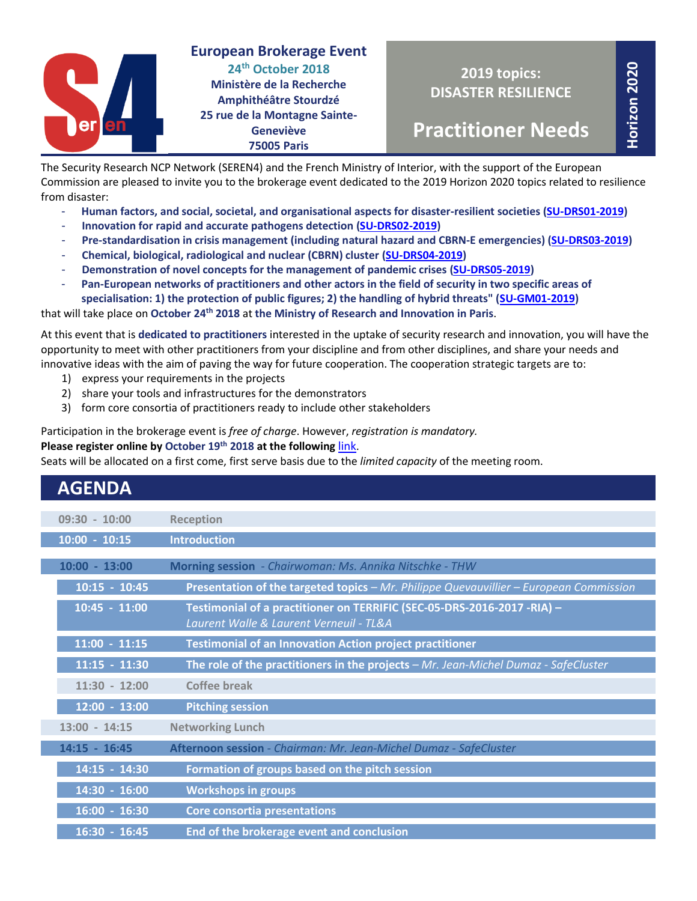

**European Brokerage Event 24th October 2018 Ministère de la Recherche Amphithéâtre Stourdzé 25 rue de la Montagne Sainte-Geneviève 75005 Paris**

**Horizon 2020**

**Practitioner Needs**

The Security Research NCP Network (SEREN4) and the French Ministry of Interior, with the support of the European Commission are pleased to invite you to the brokerage event dedicated to the 2019 Horizon 2020 topics related to resilience from disaster:

- **Human factors, and social, societal, and organisational aspects for disaster-resilient societies [\(SU-DRS01-2019\)](https://ec.europa.eu/research/participants/portal/desktop/en/opportunities/h2020/topics/su-drs01-2018-2019-2020.html)**
- **Innovation for rapid and accurate pathogens detection [\(SU-DRS02-2019\)](https://ec.europa.eu/research/participants/portal/desktop/en/opportunities/h2020/topics/su-drs02-2018-2019-2020.html)**
- **Pre-standardisation in crisis management (including natural hazard and CBRN-E emergencies) [\(SU-DRS03-2019\)](https://ec.europa.eu/research/participants/portal/desktop/en/opportunities/h2020/topics/su-drs03-2018-2019-2020.html)**
- **Chemical, biological, radiological and nuclear (CBRN) cluster [\(SU-DRS04-2019\)](https://ec.europa.eu/research/participants/portal/desktop/en/opportunities/h2020/topics/su-drs04-2019-2020.html)**
- **Demonstration of novel concepts for the management of pandemic crises [\(SU-DRS05-2019\)](https://ec.europa.eu/research/participants/portal/desktop/en/opportunities/h2020/topics/su-drs05-2019.html)**
- **Pan-European networks of practitioners and other actors in the field of security in two specific areas of specialisation: 1) the protection of public figures; 2) the handling of hybrid threats" [\(SU-GM01-2019\)](https://ec.europa.eu/research/participants/portal/desktop/en/opportunities/h2020/topics/su-gm01-2018-2019-2020.html)**

that will take place on **October 24th 2018** at **the Ministry of Research and Innovation in Paris**.

At this event that is **dedicated to practitioners** interested in the uptake of security research and innovation, you will have the opportunity to meet with other practitioners from your discipline and from other disciplines, and share your needs and innovative ideas with the aim of paving the way for future cooperation. The cooperation strategic targets are to:

- 1) express your requirements in the projects
- 2) share your tools and infrastructures for the demonstrators
- 3) form core consortia of practitioners ready to include other stakeholders

Participation in the brokerage event is *free of charge*. However, *registration is mandatory.*

### **Please register online by October 19th 2018 at the following** [link](http://www.horizon2020.gouv.fr/cid131435/registration-european-brokerage-event-drs-2019-24th-october-2018.html).

Seats will be allocated on a first come, first serve basis due to the *limited capacity* of the meeting room.

| <b>AGENDA</b>   |                                                                                                                    |
|-----------------|--------------------------------------------------------------------------------------------------------------------|
| $09:30 - 10:00$ | <b>Reception</b>                                                                                                   |
| $10:00 - 10:15$ | <b>Introduction</b>                                                                                                |
| $10:00 - 13:00$ | Morning session - Chairwoman: Ms. Annika Nitschke - THW                                                            |
| $10:15 - 10:45$ | Presentation of the targeted topics - Mr. Philippe Quevauvillier - European Commission                             |
| $10:45 - 11:00$ | Testimonial of a practitioner on TERRIFIC (SEC-05-DRS-2016-2017 -RIA) -<br>Laurent Walle & Laurent Verneuil - TL&A |
| $11:00 - 11:15$ | <b>Testimonial of an Innovation Action project practitioner</b>                                                    |
| $11:15 - 11:30$ | The role of the practitioners in the projects - Mr. Jean-Michel Dumaz - SafeCluster                                |
| $11:30 - 12:00$ | <b>Coffee break</b>                                                                                                |
| $12:00 - 13:00$ | <b>Pitching session</b>                                                                                            |
| $13:00 - 14:15$ | <b>Networking Lunch</b>                                                                                            |
| $14:15 - 16:45$ | Afternoon session - Chairman: Mr. Jean-Michel Dumaz - SafeCluster                                                  |
| 14:15 - 14:30   | Formation of groups based on the pitch session                                                                     |
| 14:30 - 16:00   | <b>Workshops in groups</b>                                                                                         |
| $16:00 - 16:30$ | <b>Core consortia presentations</b>                                                                                |
| $16:30 - 16:45$ | End of the brokerage event and conclusion                                                                          |